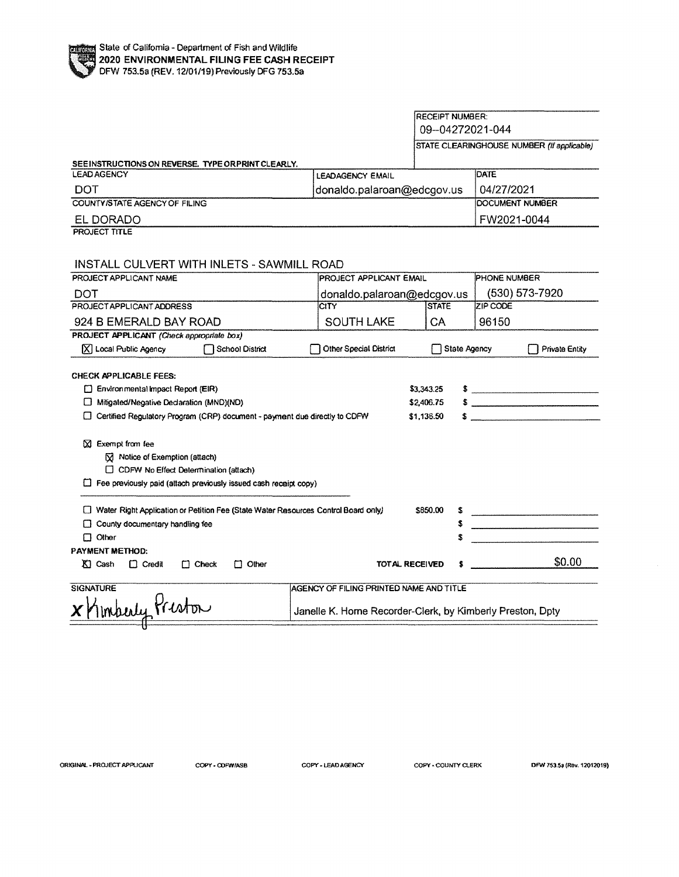|                                                                                    |                                         | <b>RECEIPT NUMBER:</b> |                                                                                                                                                                                                                                                                                                                                                                                                                      |
|------------------------------------------------------------------------------------|-----------------------------------------|------------------------|----------------------------------------------------------------------------------------------------------------------------------------------------------------------------------------------------------------------------------------------------------------------------------------------------------------------------------------------------------------------------------------------------------------------|
|                                                                                    |                                         | 09-04272021-044        |                                                                                                                                                                                                                                                                                                                                                                                                                      |
|                                                                                    |                                         |                        | STATE CLEARINGHOUSE NUMBER (If applicable)                                                                                                                                                                                                                                                                                                                                                                           |
| SEEINSTRUCTIONS ON REVERSE. TYPE ORPRINT CLEARLY.                                  |                                         |                        |                                                                                                                                                                                                                                                                                                                                                                                                                      |
| <b>LEAD AGENCY</b>                                                                 | <b>LEADAGENCY EMAIL</b>                 |                        | <b>DATE</b>                                                                                                                                                                                                                                                                                                                                                                                                          |
| DOT                                                                                | donaldo.palaroan@edcgov.us              |                        | 04/27/2021                                                                                                                                                                                                                                                                                                                                                                                                           |
| COUNTY/STATE AGENCY OF FILING                                                      |                                         |                        | DOCUMENT NUMBER                                                                                                                                                                                                                                                                                                                                                                                                      |
| EL DORADO                                                                          |                                         |                        | FW2021-0044                                                                                                                                                                                                                                                                                                                                                                                                          |
| <b>PROJECT TITLE</b>                                                               |                                         |                        |                                                                                                                                                                                                                                                                                                                                                                                                                      |
|                                                                                    |                                         |                        |                                                                                                                                                                                                                                                                                                                                                                                                                      |
| <b>INSTALL CULVERT WITH INLETS - SAWMILL ROAD</b>                                  |                                         |                        |                                                                                                                                                                                                                                                                                                                                                                                                                      |
| PROJECT APPLICANT NAME                                                             | PROJECT APPLICANT EMAIL                 |                        | PHONE NUMBER                                                                                                                                                                                                                                                                                                                                                                                                         |
| DOT                                                                                | donaldo.palaroan@edcgov.us              |                        | (530) 573-7920                                                                                                                                                                                                                                                                                                                                                                                                       |
| PROJECT APPLICANT ADDRESS                                                          | CITY                                    | <b>STATE</b>           | ZIP CODE                                                                                                                                                                                                                                                                                                                                                                                                             |
| 924 B EMERALD BAY ROAD                                                             | <b>SOUTH LAKE</b>                       | СA                     | 96150                                                                                                                                                                                                                                                                                                                                                                                                                |
| <b>PROJECT APPLICANT (Check appropriate box)</b>                                   |                                         |                        |                                                                                                                                                                                                                                                                                                                                                                                                                      |
| $[\overline{X}]$ Local Public Agency<br>School District                            | Other Special District                  | State Agency           | Private Entity                                                                                                                                                                                                                                                                                                                                                                                                       |
|                                                                                    |                                         |                        |                                                                                                                                                                                                                                                                                                                                                                                                                      |
| CHECK APPLICABLE FEES:                                                             |                                         |                        |                                                                                                                                                                                                                                                                                                                                                                                                                      |
| Environmental Impact Report (EIR)                                                  |                                         | \$3.343.25             | $\frac{1}{\sqrt{1-\frac{1}{2}}\sqrt{1-\frac{1}{2}}\sqrt{1-\frac{1}{2}}\sqrt{1-\frac{1}{2}}\sqrt{1-\frac{1}{2}}\sqrt{1-\frac{1}{2}}\sqrt{1-\frac{1}{2}}\sqrt{1-\frac{1}{2}}\sqrt{1-\frac{1}{2}}\sqrt{1-\frac{1}{2}}\sqrt{1-\frac{1}{2}}\sqrt{1-\frac{1}{2}}\sqrt{1-\frac{1}{2}}\sqrt{1-\frac{1}{2}}\sqrt{1-\frac{1}{2}}\sqrt{1-\frac{1}{2}}\sqrt{1-\frac{1}{2}}\sqrt{1-\frac{1}{2}}\sqrt{1-\frac{1}{2}}\sqrt{1-\frac$ |
| Mitigated/Negative Declaration (MND)(ND)                                           |                                         | \$2,406.75             | $$$ $$$                                                                                                                                                                                                                                                                                                                                                                                                              |
| □ Certified Regulatory Program (CRP) document - payment due directly to CDFW       |                                         | \$1,136.50             |                                                                                                                                                                                                                                                                                                                                                                                                                      |
| $\boxtimes$ Exempt from fee                                                        |                                         |                        |                                                                                                                                                                                                                                                                                                                                                                                                                      |
| M Notice of Exemption (attach)                                                     |                                         |                        |                                                                                                                                                                                                                                                                                                                                                                                                                      |
| □ CDFW No Effect Determination (attach)                                            |                                         |                        |                                                                                                                                                                                                                                                                                                                                                                                                                      |
| $\Box$ Fee previously paid (attach previously issued cash receipt copy)            |                                         |                        |                                                                                                                                                                                                                                                                                                                                                                                                                      |
|                                                                                    |                                         |                        |                                                                                                                                                                                                                                                                                                                                                                                                                      |
| Water Right Application or Petition Fee (State Water Resources Control Board only) |                                         | \$850.00               |                                                                                                                                                                                                                                                                                                                                                                                                                      |
| $\Box$ County documentary handling fee                                             |                                         |                        |                                                                                                                                                                                                                                                                                                                                                                                                                      |
| $\Box$ Other                                                                       |                                         |                        |                                                                                                                                                                                                                                                                                                                                                                                                                      |
| PAYMENT METHOD:                                                                    |                                         |                        |                                                                                                                                                                                                                                                                                                                                                                                                                      |
| $K1$ Cash<br>$\Box$ Credit<br>$\Box$ Check<br>$\Box$ Other                         | <b>TOTAL RECEIVED</b>                   |                        | \$0.00                                                                                                                                                                                                                                                                                                                                                                                                               |
| <b>SIGNATURE</b>                                                                   |                                         |                        |                                                                                                                                                                                                                                                                                                                                                                                                                      |
|                                                                                    | AGENCY OF FILING PRINTED NAME AND TITLE |                        |                                                                                                                                                                                                                                                                                                                                                                                                                      |
| Imberly Preston<br>Janelle K. Horne Recorder-Clerk, by Kimberly Preston, Dpty      |                                         |                        |                                                                                                                                                                                                                                                                                                                                                                                                                      |
|                                                                                    |                                         |                        |                                                                                                                                                                                                                                                                                                                                                                                                                      |